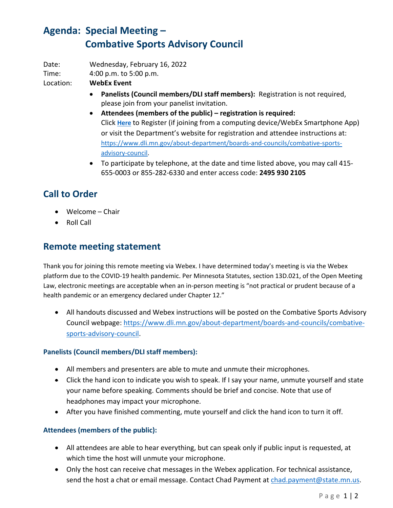# **Agenda: Special Meeting – Combative Sports Advisory Council**

Date: Wednesday, February 16, 2022

Time: 4:00 p.m. to 5:00 p.m.

Location: **WebEx Event**

- **Panelists (Council members/DLI staff members):** Registration is not required, please join from your panelist invitation.
- **Attendees (members of the public) – registration is required:** Click **[Here](https://minnesota.webex.com/webappng/sites/minnesota/meeting/register/363e44e1dda9441f9c13559d982280ef?ticket=4832534b0000000513e559dc2c6cb77336fefe4d9e9d7daf3a896b4a3d39e61b742e17dd0d3a0dd5×tamp=1644596430188&locale=en_US)** to Register (if joining from a computing device/WebEx Smartphone App) or visit the Department's website for registration and attendee instructions at: [https://www.dli.mn.gov/about-department/boards-and-councils/combative-sports](https://www.dli.mn.gov/about-department/boards-and-councils/combative-sports-advisory-council)[advisory-council.](https://www.dli.mn.gov/about-department/boards-and-councils/combative-sports-advisory-council)
- To participate by telephone, at the date and time listed above, you may call 415- 655-0003 or 855-282-6330 and enter access code: **2495 930 2105**

## **Call to Order**

- Welcome Chair
- Roll Call

### **Remote meeting statement**

Thank you for joining this remote meeting via Webex. I have determined today's meeting is via the Webex platform due to the COVID-19 health pandemic. Per Minnesota Statutes, section 13D.021, of the Open Meeting Law, electronic meetings are acceptable when an in-person meeting is "not practical or prudent because of a health pandemic or an emergency declared under Chapter 12."

• All handouts discussed and Webex instructions will be posted on the Combative Sports Advisory Council webpage: [https://www.dli.mn.gov/about-department/boards-and-councils/combative](https://www.dli.mn.gov/about-department/boards-and-councils/combative-sports-advisory-council)[sports-advisory-council.](https://www.dli.mn.gov/about-department/boards-and-councils/combative-sports-advisory-council)

#### **Panelists (Council members/DLI staff members):**

- All members and presenters are able to mute and unmute their microphones.
- Click the hand icon to indicate you wish to speak. If I say your name, unmute yourself and state your name before speaking. Comments should be brief and concise. Note that use of headphones may impact your microphone.
- After you have finished commenting, mute yourself and click the hand icon to turn it off.

#### **Attendees (members of the public):**

- All attendees are able to hear everything, but can speak only if public input is requested, at which time the host will unmute your microphone.
- Only the host can receive chat messages in the Webex application. For technical assistance, send the host a chat or email message. Contact Chad Payment at [chad.payment@state.mn.us.](mailto:chad.payment@state.mn.us)